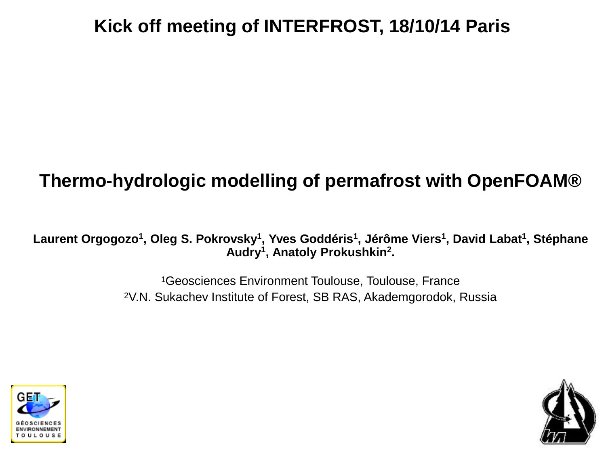# **Kick off meeting of INTERFROST, 18/10/14 Paris**

# **Thermo-hydrologic modelling of permafrost with OpenFOAM®**

**Laurent Orgogozo<sup>1</sup> , Oleg S. Pokrovsky<sup>1</sup> , Yves Goddéris<sup>1</sup> , Jérôme Viers<sup>1</sup> , David Labat<sup>1</sup> , Stéphane Audry<sup>1</sup> , Anatoly Prokushkin<sup>2</sup> .**

> <sup>1</sup>Geosciences Environment Toulouse, Toulouse, France 2V.N. Sukachev Institute of Forest, SB RAS, Akademgorodok, Russia



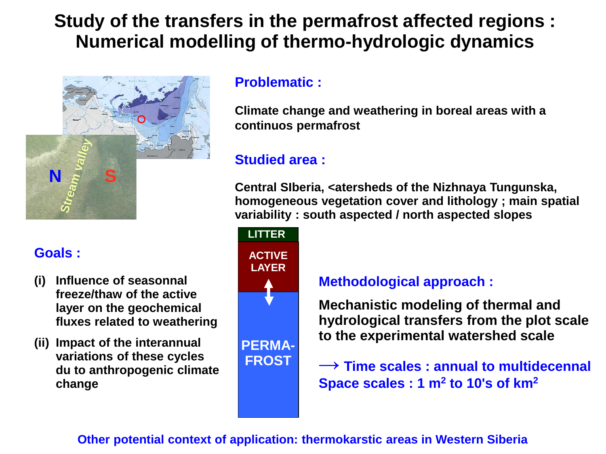### **Study of the transfers in the permafrost affected regions : Numerical modelling of thermo-hydrologic dynamics**



### **Goals :**

- **(i) Influence of seasonnal freeze/thaw of the active layer on the geochemical fluxes related to weathering**
- **(ii) Impact of the interannual variations of these cycles du to anthropogenic climate change**

#### **Problematic :**

**Climate change and weathering in boreal areas with a continuos permafrost**

### **Studied area :**

**Central SIberia, <atersheds of the Nizhnaya Tungunska, homogeneous vegetation cover and lithology ; main spatial variability : south aspected / north aspected slopes**



#### **Methodological approach :**

**Mechanistic modeling of thermal and hydrological transfers from the plot scale to the experimental watershed scale**

**→ Time scales : annual to multidecennal Space scales : 1 m<sup>2</sup> to 10's of km<sup>2</sup>**

#### **Other potential context of application: thermokarstic areas in Western Siberia**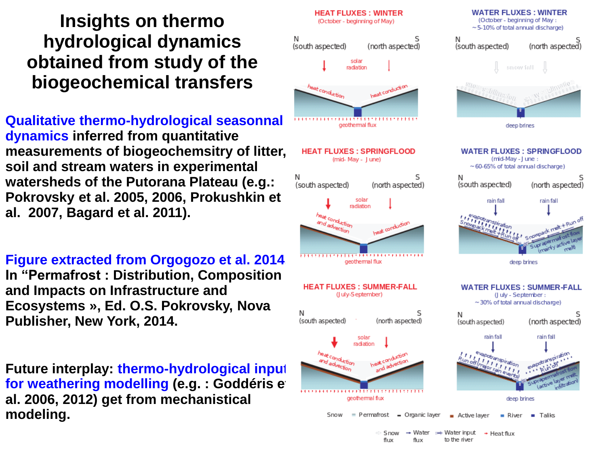### **Insights on thermo hydrological dynamics obtained from study of the biogeochemical transfers**

**Qualitative thermo-hydrological seasonnal dynamics inferred from quantitative measurements of biogeochemsitry of litter, soil and stream waters in experimental watersheds of the Putorana Plateau (e.g.: Pokrovsky et al. 2005, 2006, Prokushkin et al. 2007, Bagard et al. 2011).**

**Figure extracted from Orgogozo et al. 2014, In "Permafrost : Distribution, Composition and Impacts on Infrastructure and Ecosystems », Ed. O.S. Pokrovsky, Nova Publisher, New York, 2014.**

**Future interplay: thermo-hydrological input for weathering modelling (e.g. : Goddéris et al. <b>interpretatally al. 2006, 2012) get from mechanistical modeling.**

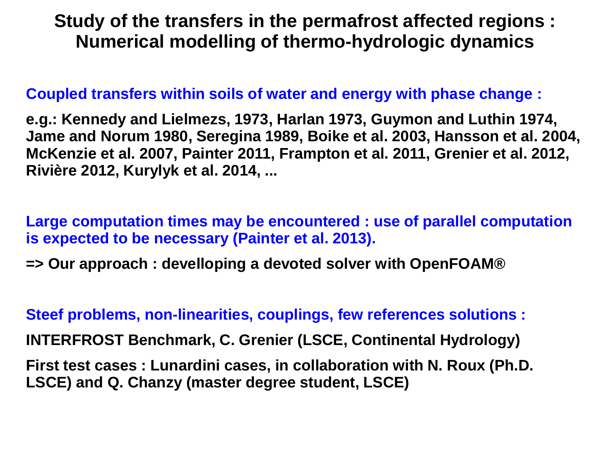### **Study of the transfers in the permafrost affected regions : Numerical modelling of thermo-hydrologic dynamics**

#### **Coupled transfers within soils of water and energy with phase change :**

**e.g.: Kennedy and Lielmezs, 1973, Harlan 1973, Guymon and Luthin 1974, Jame and Norum 1980, Seregina 1989, Boike et al. 2003, Hansson et al. 2004, McKenzie et al. 2007, Painter 2011, Frampton et al. 2011, Grenier et al. 2012, Rivière 2012, Kurylyk et al. 2014, ...**

**Large computation times may be encountered : use of parallel computation is expected to be necessary (Painter et al. 2013).**

**=> Our approach : develloping a devoted solver with OpenFOAM®**

**Steef problems, non-linearities, couplings, few references solutions :**

**INTERFROST Benchmark, C. Grenier (LSCE, Continental Hydrology)**

**First test cases : Lunardini cases, in collaboration with N. Roux (Ph.D. LSCE) and Q. Chanzy (master degree student, LSCE)**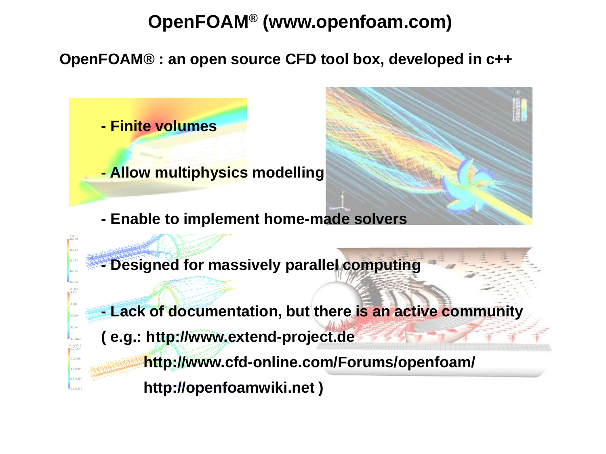# **OpenFOAM® (www.openfoam.com)**

**OpenFOAM® : an open source CFD tool box, developed in c++**

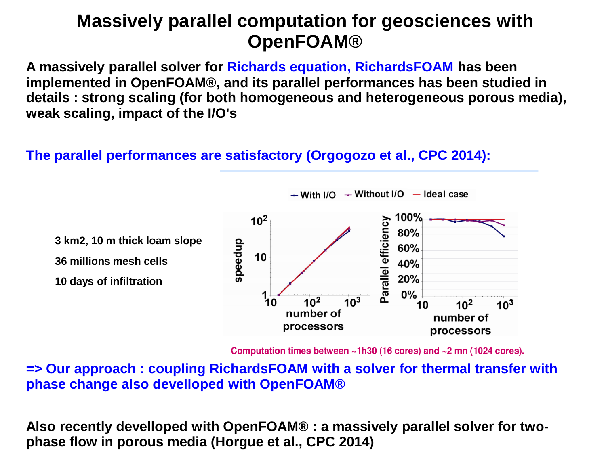### **Massively parallel computation for geosciences with OpenFOAM®**

**A massively parallel solver for Richards equation, RichardsFOAM has been implemented in OpenFOAM®, and its parallel performances has been studied in details : strong scaling (for both homogeneous and heterogeneous porous media), weak scaling, impact of the I/O's**

#### **The parallel performances are satisfactory (Orgogozo et al., CPC 2014):**



 $\div$  With I/O  $\div$  Without I/O  $-$  Ideal case

Computation times between  $\sim$ 1h30 (16 cores) and  $\sim$ 2 mn (1024 cores).

**=> Our approach : coupling RichardsFOAM with a solver for thermal transfer with phase change also develloped with OpenFOAM®**

**Also recently develloped with OpenFOAM® : a massively parallel solver for twophase flow in porous media (Horgue et al., CPC 2014)**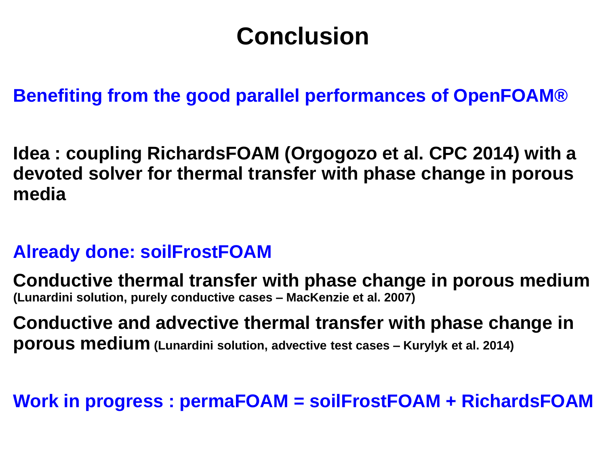# **Conclusion**

**Benefiting from the good parallel performances of OpenFOAM®**

**Idea : coupling RichardsFOAM (Orgogozo et al. CPC 2014) with a devoted solver for thermal transfer with phase change in porous media**

### **Already done: soilFrostFOAM**

**Conductive thermal transfer with phase change in porous medium (Lunardini solution, purely conductive cases – MacKenzie et al. 2007)**

**Conductive and advective thermal transfer with phase change in porous medium (Lunardini solution, advective test cases – Kurylyk et al. 2014)**

**Work in progress : permaFOAM = soilFrostFOAM + RichardsFOAM**